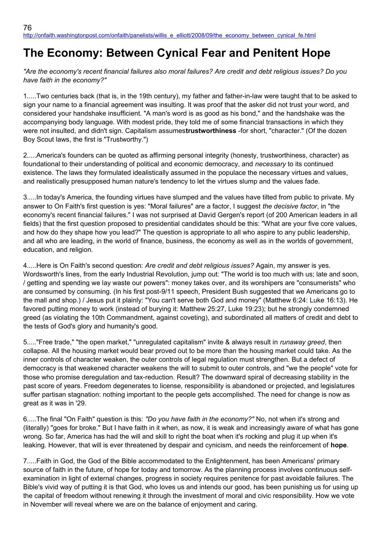## **The Economy: Between Cynical Fear and Penitent Hope**

*"Are the economy's recent financial failures also moral failures? Are credit and debt religious issues? Do you have faith in the economy?"*

1.....Two centuries back (that is, in the 19th century), my father and father-in-law were taught that to be asked to sign your name to a financial agreement was insulting. It was proof that the asker did not trust your word, and considered your handshake insufficient. "A man's word is as good as his bond," and the handshake was the accompanying body language. With modest pride, they told me of some financial transactions in which they were not insulted, and didn't sign. Capitalism assumes**trustworthiness** -for short, "character." (Of the dozen Boy Scout laws, the first is "Trustworthy.")

2.....America's founders can be quoted as affirming personal integrity (honesty, trustworthiness, character) as foundational to their understanding of political and economic democracy, and *necessary* to its continued existence. The laws they formulated idealistically assumed in the populace the necessary virtues and values, and realistically presupposed human nature's tendency to let the virtues slump and the values fade.

3.....In today's America, the founding virtues have slumped and the values have tilted from public to private. My answer to On Faith's first question is yes: "Moral failures" are a factor, I suggest *the decisive factor*, in "the economy's recent financial failures." I was not surprised at David Gergen's report (of 200 American leaders in all fields) that the first question proposed to presidential candidates should be this: "What are your five core values, and how do they shape how you lead?" The question is appropriate to all who aspire to any public leadership, and all who are leading, in the world of finance, business, the economy as well as in the worlds of government, education, and religion.

4.....Here is On Faith's second question: *Are credit and debt religious issues?* Again, my answer is yes. Wordsworth's lines, from the early Industrial Revolution, jump out: "The world is too much with us; late and soon, / getting and spending we lay waste our powers": money takes over, and its worshipers are "consumerists" who are consumed by consuming. (In his first post-9/11 speech, President Bush suggested that we Americans go to the mall and shop.) / Jesus put it plainly: "You can't serve both God and money" (Matthew 6:24: Luke 16:13). He favored putting money to work (instead of burying it: Matthew 25:27, Luke 19:23); but he strongly condemned greed (as violating the 10th Commandment, against coveting), and subordinated all matters of credit and debt to the tests of God's glory and humanity's good.

5....."Free trade," "the open market," "unregulated capitalism" invite & always result in *runaway greed*, then collapse. All the housing market would bear proved out to be more than the housing market could take. As the inner controls of character weaken, the outer controls of legal regulation must strengthen. But a defect of democracy is that weakened character weakens the will to submit to outer controls, and "we the people" vote for those who promise deregulation and tax-reduction. Result? The downward spiral of decreasing stability in the past score of years. Freedom degenerates to license, responsibility is abandoned or projected, and legislatures suffer partisan stagnation: nothing important to the people gets accomplished. The need for change is now as great as it was in '29.

6.....The final "On Faith" question is this: *"Do you have faith in the economy?"* No, not when it's strong and (literally) "goes for broke." But I have faith in it when, as now, it is weak and increasingly aware of what has gone wrong. So far, America has had the will and skill to right the boat when it's rocking and plug it up when it's leaking. However, that will is ever threatened by despair and cynicism, and needs the reinforcement of **hope**.

7.....Faith in God, the God of the Bible accommodated to the Enlightenment, has been Americans' primary source of faith in the future, of hope for today and tomorrow. As the planning process involves continuous selfexamination in light of external changes, progress in society requires penitence for past avoidable failures. The Bible's vivid way of putting it is that God, who loves us and intends our good, has been punishing us for using up the capital of freedom without renewing it through the investment of moral and civic responsibility. How we vote in November will reveal where we are on the balance of enjoyment and caring.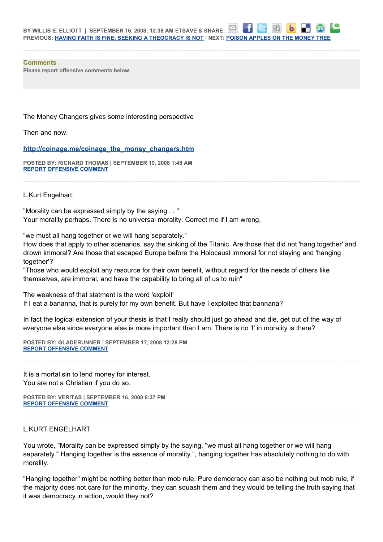## **Comments**

**Please report offensive comments below.**

The Money Changers gives some interesting perspective

Then and now.

**[http://coinage.me/coinage\\_the\\_money\\_changers.htm](http://coinage.me/coinage_the_money_changers.htm)**

**POSTED BY: RICHARD THOMAS | SEPTEMBER 19, 2008 1:48 AM [REPORT OFFENSIVE COMMENT](mailto:blogs@washingtonpost.com?subject=On%20Faith%20Panelists%20Blog%20%20%7C%20%20Richard%20Thomas%20%20%7C%20%20The%20Economy:%20%20Between%20Cynical%20Fear%20and%20Penitent%20Hope%20%20%7C%20%204538715&body=%0D%0D%0D%0D%0D================%0D?__mode=view%26_type=comment%26id=4538715%26blog_id=618)**

L.Kurt Engelhart:

"Morality can be expressed simply by the saying . . " Your morality perhaps. There is no universal morality. Correct me if I am wrong.

"we must all hang together or we will hang separately."

How does that apply to other scenarios, say the sinking of the Titanic. Are those that did not 'hang together' and drown immoral? Are those that escaped Europe before the Holocaust immoral for not staying and 'hanging together'?

"Those who would exploit any resource for their own benefit, without regard for the needs of others like themselves, are immoral, and have the capability to bring all of us to ruin"

The weakness of that statment is the word 'exploit' If I eat a bananna, that is purely for my own benefit. But have I exploited that bannana?

In fact the logical extension of your thesis is that I really should just go ahead and die, get out of the way of everyone else since everyone else is more important than I am. There is no 'I' in morality is there?

**POSTED BY: GLADERUNNER | SEPTEMBER 17, 2008 12:28 PM [REPORT OFFENSIVE COMMENT](mailto:blogs@washingtonpost.com?subject=On%20Faith%20Panelists%20Blog%20%20%7C%20%20Gladerunner%20%20%7C%20%20The%20Economy:%20%20Between%20Cynical%20Fear%20and%20Penitent%20Hope%20%20%7C%20%204537393&body=%0D%0D%0D%0D%0D================%0D?__mode=view%26_type=comment%26id=4537393%26blog_id=618)**

It is a mortal sin to lend money for interest. You are not a Christian if you do so.

**POSTED BY: VERITAS | SEPTEMBER 16, 2008 8:37 PM [REPORT OFFENSIVE COMMENT](mailto:blogs@washingtonpost.com?subject=On%20Faith%20Panelists%20Blog%20%20%7C%20%20Veritas%20%20%7C%20%20The%20Economy:%20%20Between%20Cynical%20Fear%20and%20Penitent%20Hope%20%20%7C%20%204536764&body=%0D%0D%0D%0D%0D================%0D?__mode=view%26_type=comment%26id=4536764%26blog_id=618)**

## L.KURT ENGELHART

You wrote, "Morality can be expressed simply by the saying, "we must all hang together or we will hang separately." Hanging together is the essence of morality.", hanging together has absolutely nothing to do with morality.

"Hanging together" might be nothing better than mob rule. Pure democracy can also be nothing but mob rule, if the majority does not care for the minority, they can squash them and they would be telling the truth saying that it was democracy in action, would they not?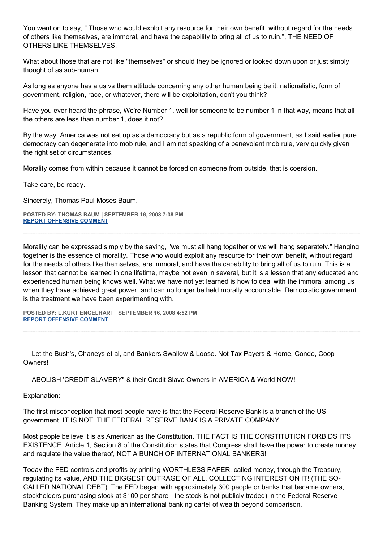You went on to say, " Those who would exploit any resource for their own benefit, without regard for the needs of others like themselves, are immoral, and have the capability to bring all of us to ruin.", THE NEED OF OTHERS LIKE THEMSELVES.

What about those that are not like "themselves" or should they be ignored or looked down upon or just simply thought of as sub-human.

As long as anyone has a us vs them attitude concerning any other human being be it: nationalistic, form of government, religion, race, or whatever, there will be exploitation, don't you think?

Have you ever heard the phrase, We're Number 1, well for someone to be number 1 in that way, means that all the others are less than number 1, does it not?

By the way, America was not set up as a democracy but as a republic form of government, as I said earlier pure democracy can degenerate into mob rule, and I am not speaking of a benevolent mob rule, very quickly given the right set of circumstances.

Morality comes from within because it cannot be forced on someone from outside, that is coersion.

Take care, be ready.

Sincerely, Thomas Paul Moses Baum.

**POSTED BY: THOMAS BAUM | SEPTEMBER 16, 2008 7:38 PM [REPORT OFFENSIVE COMMENT](mailto:blogs@washingtonpost.com?subject=On%20Faith%20Panelists%20Blog%20%20%7C%20%20Thomas%20Baum%20%20%7C%20%20The%20Economy:%20%20Between%20Cynical%20Fear%20and%20Penitent%20Hope%20%20%7C%20%204536718&body=%0D%0D%0D%0D%0D================%0D?__mode=view%26_type=comment%26id=4536718%26blog_id=618)**

Morality can be expressed simply by the saying, "we must all hang together or we will hang separately." Hanging together is the essence of morality. Those who would exploit any resource for their own benefit, without regard for the needs of others like themselves, are immoral, and have the capability to bring all of us to ruin. This is a lesson that cannot be learned in one lifetime, maybe not even in several, but it is a lesson that any educated and experienced human being knows well. What we have not yet learned is how to deal with the immoral among us when they have achieved great power, and can no longer be held morally accountable. Democratic government is the treatment we have been experimenting with.

**POSTED BY: L.KURT ENGELHART | SEPTEMBER 16, 2008 4:52 PM [REPORT OFFENSIVE COMMENT](mailto:blogs@washingtonpost.com?subject=On%20Faith%20Panelists%20Blog%20%20%7C%20%20L.Kurt%20Engelhart%20%20%7C%20%20The%20Economy:%20%20Between%20Cynical%20Fear%20and%20Penitent%20Hope%20%20%7C%20%204536558&body=%0D%0D%0D%0D%0D================%0D?__mode=view%26_type=comment%26id=4536558%26blog_id=618)**

--- Let the Bush's, Chaneys et al, and Bankers Swallow & Loose. Not Tax Payers & Home, Condo, Coop Owners!

--- ABOLISH 'CREDiT SLAVERY" & their Credit Slave Owners in AMERiCA & World NOW!

Explanation:

The first misconception that most people have is that the Federal Reserve Bank is a branch of the US government. IT IS NOT. THE FEDERAL RESERVE BANK IS A PRIVATE COMPANY.

Most people believe it is as American as the Constitution. THE FACT IS THE CONSTITUTION FORBIDS IT'S EXISTENCE. Article 1, Section 8 of the Constitution states that Congress shall have the power to create money and regulate the value thereof, NOT A BUNCH OF INTERNATIONAL BANKERS!

Today the FED controls and profits by printing WORTHLESS PAPER, called money, through the Treasury, regulating its value, AND THE BIGGEST OUTRAGE OF ALL, COLLECTING INTEREST ON IT! (THE SO-CALLED NATIONAL DEBT). The FED began with approximately 300 people or banks that became owners, stockholders purchasing stock at \$100 per share - the stock is not publicly traded) in the Federal Reserve Banking System. They make up an international banking cartel of wealth beyond comparison.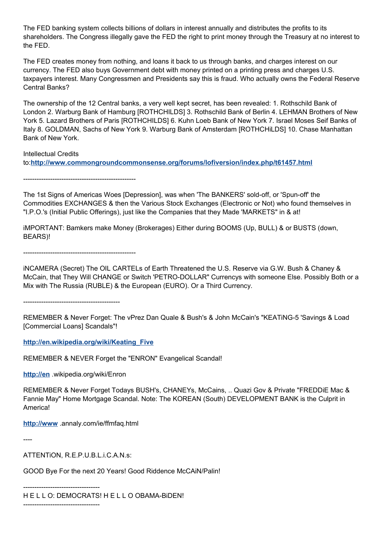The FED banking system collects billions of dollars in interest annually and distributes the profits to its shareholders. The Congress illegally gave the FED the right to print money through the Treasury at no interest to the FED.

The FED creates money from nothing, and loans it back to us through banks, and charges interest on our currency. The FED also buys Government debt with money printed on a printing press and charges U.S. taxpayers interest. Many Congressmen and Presidents say this is fraud. Who actually owns the Federal Reserve Central Banks?

The ownership of the 12 Central banks, a very well kept secret, has been revealed: 1. Rothschild Bank of London 2. Warburg Bank of Hamburg [ROTHCHILDS] 3. Rothschild Bank of Berlin 4. LEHMAN Brothers of New York 5. Lazard Brothers of Paris [ROTHCHILDS] 6. Kuhn Loeb Bank of New York 7. Israel Moses Seif Banks of Italy 8. GOLDMAN, Sachs of New York 9. Warburg Bank of Amsterdam [ROTHCHiLDS] 10. Chase Manhattan Bank of New York.

Intellectual Credits to:**<http://www.commongroundcommonsense.org/forums/lofiversion/index.php/t61457.html>**

--------------------------------------------------

The 1st Signs of Americas Woes [Depression], was when 'The BANKERS' sold-off, or 'Spun-off' the Commodities EXCHANGES & then the Various Stock Exchanges (Electronic or Not) who found themselves in "I.P.O.'s (Initial Public Offerings), just like the Companies that they Made 'MARKETS" in & at!

iMPORTANT: Bamkers make Money (Brokerages) Either during BOOMS (Up, BULL) & or BUSTS (down, BEARS)!

--------------------------------------------------

iNCAMERA (Secret) The OIL CARTELs of Earth Threatened the U.S. Reserve via G.W. Bush & Chaney & McCain, that They Will CHANGE or Switch 'PETRO-DOLLAR" Currencys with someone Else. Possibly Both or a Mix with The Russia (RUBLE) & the European (EURO). Or a Third Currency.

-------------------------------------------

REMEMBER & Never Forget: The vPrez Dan Quale & Bush's & John McCain's "KEATiNG-5 'Savings & Load [Commercial Loans] Scandals"!

**[http://en.wikipedia.org/wiki/Keating\\_Five](http://en.wikipedia.org/wiki/Keating_Five)**

REMEMBER & NEVER Forget the "ENRON" Evangelical Scandal!

**[http://en](http://en/)** .wikipedia.org/wiki/Enron

REMEMBER & Never Forget Todays BUSH's, CHANEYs, McCains, .. Quazi Gov & Private "FREDDiE Mac & Fannie May" Home Mortgage Scandal. Note: The KOREAN (South) DEVELOPMENT BANK is the Culprit in **Americal** 

**[http://www](http://www/)** .annaly.com/ie/ffmfaq.html

----

ATTENTiON, R.E.P.U.B.L.i.C.A.N.s:

----------------------------------

GOOD Bye For the next 20 Years! Good Riddence McCAiN/Palin!

---------------------------------- H E L L O: DEMOCRATS! H E L L O OBAMA-BiDEN!